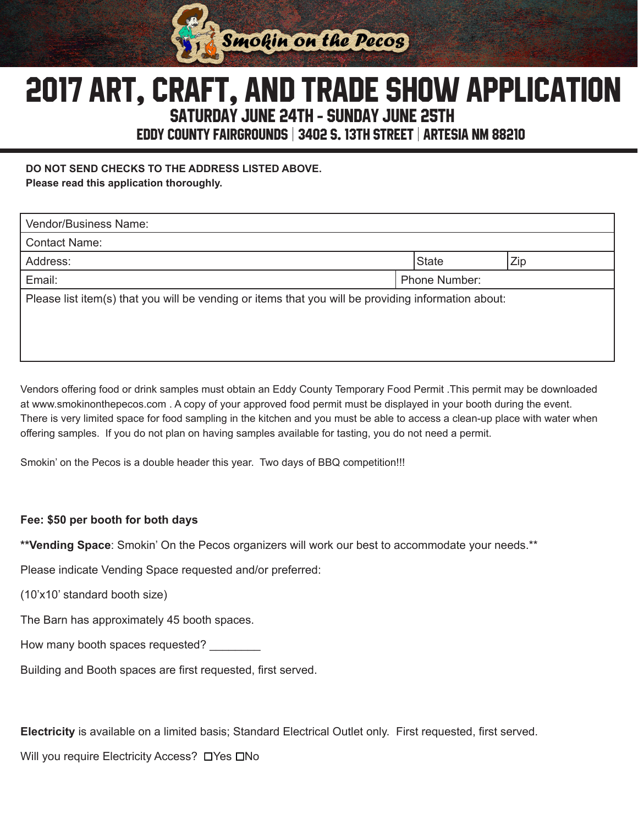

# Saturday June 24th - Sunday June 25th 2017 ART, CRAFt, and TRADE SHOW APPLICATION

Eddy County Fairgrounds | 3402 S. 13th Street | Artesia NM 88210

**DO NOT SEND CHECKS TO THE ADDRESS LISTED ABOVE.** 

**Please read this application thoroughly.**

| Vendor/Business Name:                                                                               |  |                      |     |
|-----------------------------------------------------------------------------------------------------|--|----------------------|-----|
| <b>Contact Name:</b>                                                                                |  |                      |     |
| Address:                                                                                            |  | <b>State</b>         | Zip |
| Email:                                                                                              |  | <b>Phone Number:</b> |     |
| Please list item(s) that you will be vending or items that you will be providing information about: |  |                      |     |
|                                                                                                     |  |                      |     |
|                                                                                                     |  |                      |     |

Vendors offering food or drink samples must obtain an Eddy County Temporary Food Permit .This permit may be downloaded at www.smokinonthepecos.com . A copy of your approved food permit must be displayed in your booth during the event. There is very limited space for food sampling in the kitchen and you must be able to access a clean-up place with water when offering samples. If you do not plan on having samples available for tasting, you do not need a permit.

Smokin' on the Pecos is a double header this year. Two days of BBQ competition!!!

### **Fee: \$50 per booth for both days**

**\*\*Vending Space**: Smokin' On the Pecos organizers will work our best to accommodate your needs.\*\*

Please indicate Vending Space requested and/or preferred:

(10'x10' standard booth size)

The Barn has approximately 45 booth spaces.

How many booth spaces requested? \_\_\_\_\_\_\_\_

Building and Booth spaces are first requested, first served.

**Electricity** is available on a limited basis; Standard Electrical Outlet only. First requested, first served.

Will you require Electricity Access? DYes DNo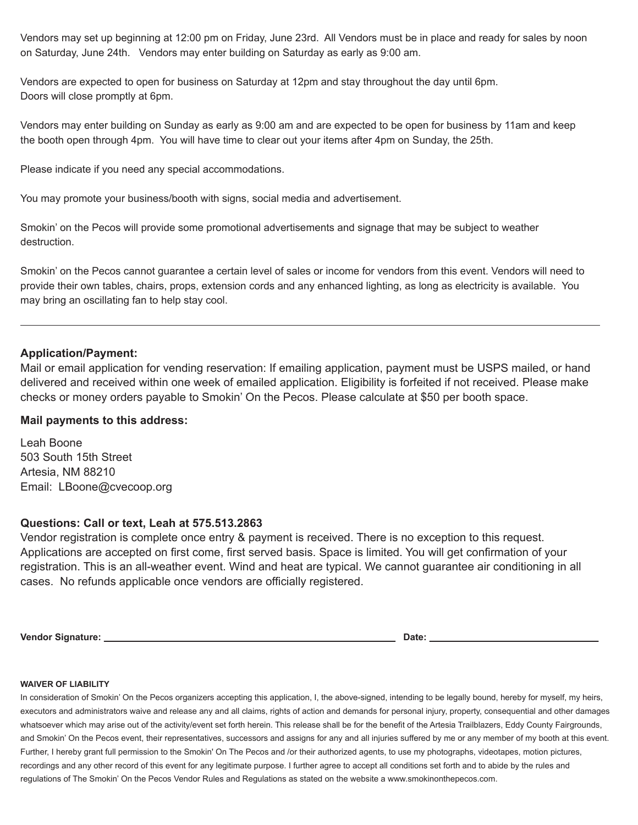Vendors may set up beginning at 12:00 pm on Friday, June 23rd. All Vendors must be in place and ready for sales by noon on Saturday, June 24th. Vendors may enter building on Saturday as early as 9:00 am.

Vendors are expected to open for business on Saturday at 12pm and stay throughout the day until 6pm. Doors will close promptly at 6pm.

Vendors may enter building on Sunday as early as 9:00 am and are expected to be open for business by 11am and keep the booth open through 4pm. You will have time to clear out your items after 4pm on Sunday, the 25th.

Please indicate if you need any special accommodations.

You may promote your business/booth with signs, social media and advertisement.

Smokin' on the Pecos will provide some promotional advertisements and signage that may be subject to weather destruction.

Smokin' on the Pecos cannot guarantee a certain level of sales or income for vendors from this event. Vendors will need to provide their own tables, chairs, props, extension cords and any enhanced lighting, as long as electricity is available. You may bring an oscillating fan to help stay cool.

#### **Application/Payment:**

Mail or email application for vending reservation: If emailing application, payment must be USPS mailed, or hand delivered and received within one week of emailed application. Eligibility is forfeited if not received. Please make checks or money orders payable to Smokin' On the Pecos. Please calculate at \$50 per booth space.

#### **Mail payments to this address:**

Leah Boone 503 South 15th Street Artesia, NM 88210 Email: LBoone@cvecoop.org

#### **Questions: Call or text, Leah at 575.513.2863**

Vendor registration is complete once entry & payment is received. There is no exception to this request. Applications are accepted on first come, first served basis. Space is limited. You will get confirmation of your registration. This is an all-weather event. Wind and heat are typical. We cannot guarantee air conditioning in all cases. No refunds applicable once vendors are officially registered.

**Vendor Signature: Date:** 

#### **WAIVER OF LIABILITY**

In consideration of Smokin' On the Pecos organizers accepting this application, I, the above-signed, intending to be legally bound, hereby for myself, my heirs, executors and administrators waive and release any and all claims, rights of action and demands for personal injury, property, consequential and other damages whatsoever which may arise out of the activity/event set forth herein. This release shall be for the benefit of the Artesia Trailblazers, Eddy County Fairgrounds, and Smokin' On the Pecos event, their representatives, successors and assigns for any and all injuries suffered by me or any member of my booth at this event. Further, I hereby grant full permission to the Smokin' On The Pecos and /or their authorized agents, to use my photographs, videotapes, motion pictures, recordings and any other record of this event for any legitimate purpose. I further agree to accept all conditions set forth and to abide by the rules and regulations of The Smokin' On the Pecos Vendor Rules and Regulations as stated on the website a www.smokinonthepecos.com.